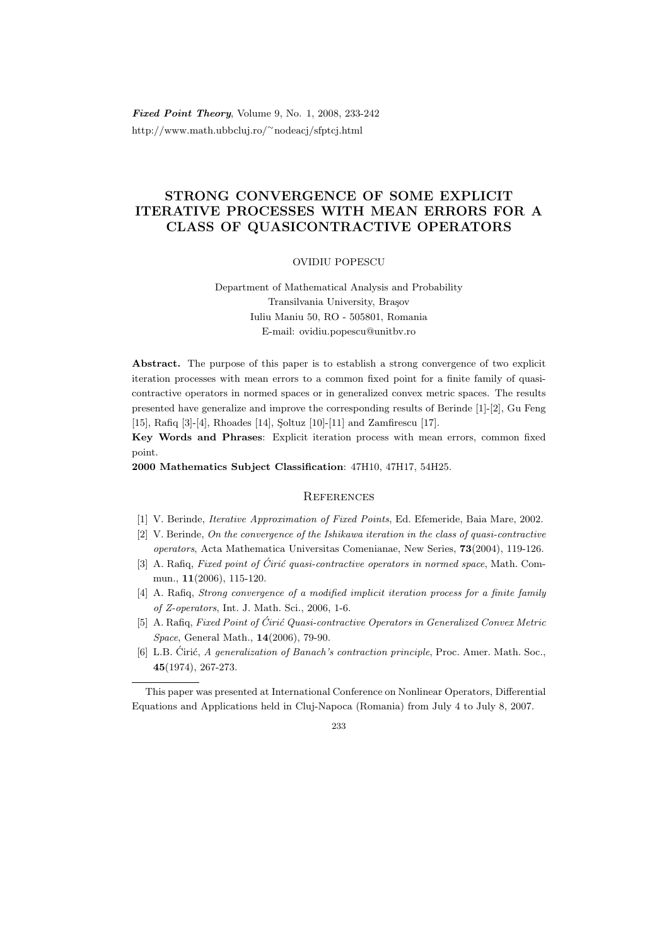Fixed Point Theory, Volume 9, No. 1, 2008, 233-242 http://www.math.ubbcluj.ro/<sup>∼</sup>nodeacj/sfptcj.html

# STRONG CONVERGENCE OF SOME EXPLICIT ITERATIVE PROCESSES WITH MEAN ERRORS FOR A CLASS OF QUASICONTRACTIVE OPERATORS

## OVIDIU POPESCU

Department of Mathematical Analysis and Probability Transilvania University, Brasov Iuliu Maniu 50, RO - 505801, Romania E-mail: ovidiu.popescu@unitbv.ro

Abstract. The purpose of this paper is to establish a strong convergence of two explicit iteration processes with mean errors to a common fixed point for a finite family of quasicontractive operators in normed spaces or in generalized convex metric spaces. The results presented have generalize and improve the corresponding results of Berinde [1]-[2], Gu Feng [15], Rafiq [3]-[4], Rhoades [14], Soltuz [10]-[11] and Zamfirescu [17].

Key Words and Phrases: Explicit iteration process with mean errors, common fixed point.

2000 Mathematics Subject Classification: 47H10, 47H17, 54H25.

## **REFERENCES**

- [1] V. Berinde, Iterative Approximation of Fixed Points, Ed. Efemeride, Baia Mare, 2002.
- [2] V. Berinde, On the convergence of the Ishikawa iteration in the class of quasi-contractive operators, Acta Mathematica Universitas Comenianae, New Series, 73(2004), 119-126.
- [3] A. Rafiq, Fixed point of Ćirić quasi-contractive operators in normed space, Math. Commun., 11(2006), 115-120.
- [4] A. Rafiq, Strong convergence of a modified implicit iteration process for a finite family of Z-operators, Int. J. Math. Sci., 2006, 1-6.
- [5] A. Rafiq, Fixed Point of Ćirić Quasi-contractive Operators in Generalized Convex Metric Space, General Math., 14(2006), 79-90.
- [6] L.B. Cirić, A generalization of Banach's contraction principle, Proc. Amer. Math. Soc., 45(1974), 267-273.

#### 233

This paper was presented at International Conference on Nonlinear Operators, Differential Equations and Applications held in Cluj-Napoca (Romania) from July 4 to July 8, 2007.